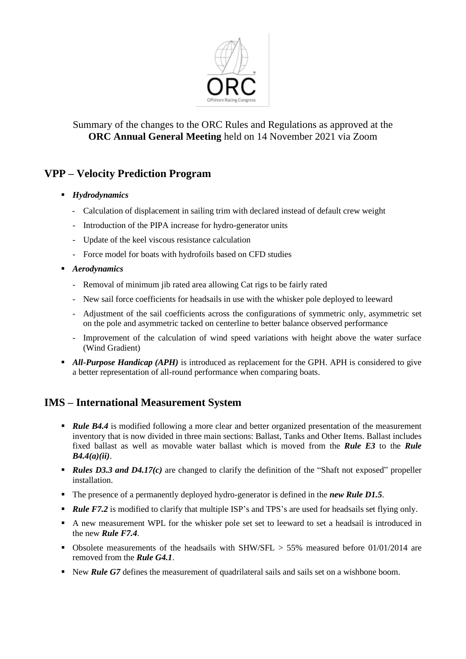

#### Summary of the changes to the ORC Rules and Regulations as approved at the **ORC Annual General Meeting** held on 14 November 2021 via Zoom

# **VPP – Velocity Prediction Program**

- *Hydrodynamics*
	- Calculation of displacement in sailing trim with declared instead of default crew weight
	- Introduction of the PIPA increase for hydro-generator units
	- Update of the keel viscous resistance calculation
	- Force model for boats with hydrofoils based on CFD studies
- *Aerodynamics* 
	- Removal of minimum jib rated area allowing Cat rigs to be fairly rated
	- New sail force coefficients for headsails in use with the whisker pole deployed to leeward
	- Adjustment of the sail coefficients across the configurations of symmetric only, asymmetric set on the pole and asymmetric tacked on centerline to better balance observed performance
	- Improvement of the calculation of wind speed variations with height above the water surface (Wind Gradient)
- **All-Purpose Handicap (APH)** is introduced as replacement for the GPH. APH is considered to give a better representation of all-round performance when comparing boats.

## **IMS – International Measurement System**

- *Rule* **B4.4** is modified following a more clear and better organized presentation of the measurement inventory that is now divided in three main sections: Ballast, Tanks and Other Items. Ballast includes fixed ballast as well as movable water ballast which is moved from the *Rule E3* to the *Rule B4.4(a)(ii)*.
- *Rules D3.3 and D4.17(c)* are changed to clarify the definition of the "Shaft not exposed" propeller installation.
- The presence of a permanently deployed hydro-generator is defined in the *new Rule D1.5*.
- **Rule F7.2** is modified to clarify that multiple ISP's and TPS's are used for headsails set flying only.
- A new measurement WPL for the whisker pole set set to leeward to set a headsail is introduced in the new *Rule F7.4*.
- **•** Obsolete measurements of the headsails with SHW/SFL  $> 55\%$  measured before 01/01/2014 are removed from the *Rule G4.1*.
- New *Rule G7* defines the measurement of quadrilateral sails and sails set on a wishbone boom.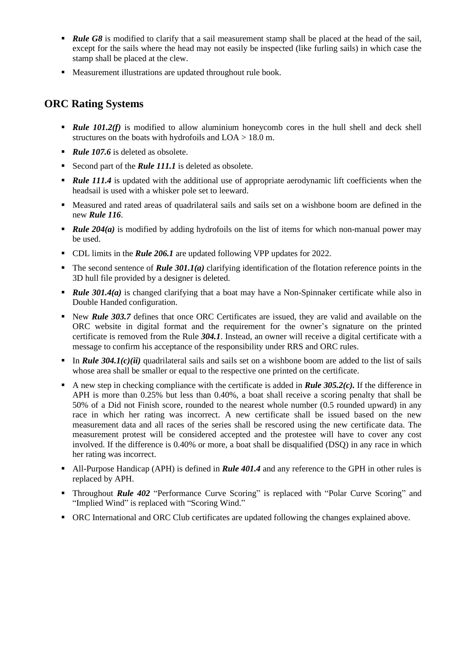- **Rule G8** is modified to clarify that a sail measurement stamp shall be placed at the head of the sail, except for the sails where the head may not easily be inspected (like furling sails) in which case the stamp shall be placed at the clew.
- Measurement illustrations are updated throughout rule book.

#### **ORC Rating Systems**

- *Rule 101.2(f)* is modified to allow aluminium honeycomb cores in the hull shell and deck shell structures on the boats with hydrofoils and LOA > 18.0 m.
- *Rule 107.6* is deleted as obsolete.
- Second part of the *Rule 111.1* is deleted as obsolete.
- *Rule 111.4* is updated with the additional use of appropriate aerodynamic lift coefficients when the headsail is used with a whisker pole set to leeward.
- Measured and rated areas of quadrilateral sails and sails set on a wishbone boom are defined in the new *Rule 116*.
- *Rule 204(a)* is modified by adding hydrofoils on the list of items for which non-manual power may be used.
- CDL limits in the *Rule 206.1* are updated following VPP updates for 2022.
- The second sentence of *Rule 301.1(a)* clarifying identification of the flotation reference points in the 3D hull file provided by a designer is deleted.
- *Rule 301.4(a)* is changed clarifying that a boat may have a Non-Spinnaker certificate while also in Double Handed configuration.
- **EXECUTE:** New *Rule 303.7* defines that once ORC Certificates are issued, they are valid and available on the ORC website in digital format and the requirement for the owner's signature on the printed certificate is removed from the Rule *304.1*. Instead, an owner will receive a digital certificate with a message to confirm his acceptance of the responsibility under RRS and ORC rules.
- **•** In *Rule 304.1(c)(ii)* quadrilateral sails and sails set on a wishbone boom are added to the list of sails whose area shall be smaller or equal to the respective one printed on the certificate.
- $\blacksquare$  A new step in checking compliance with the certificate is added in *Rule 305.2(c)*. If the difference in APH is more than 0.25% but less than 0.40%, a boat shall receive a scoring penalty that shall be 50% of a Did not Finish score, rounded to the nearest whole number (0.5 rounded upward) in any race in which her rating was incorrect. A new certificate shall be issued based on the new measurement data and all races of the series shall be rescored using the new certificate data. The measurement protest will be considered accepted and the protestee will have to cover any cost involved. If the difference is 0.40% or more, a boat shall be disqualified (DSQ) in any race in which her rating was incorrect.
- All-Purpose Handicap (APH) is defined in *Rule 401.4* and any reference to the GPH in other rules is replaced by APH.
- Throughout **Rule 402** "Performance Curve Scoring" is replaced with "Polar Curve Scoring" and "Implied Wind" is replaced with "Scoring Wind."
- ORC International and ORC Club certificates are updated following the changes explained above.